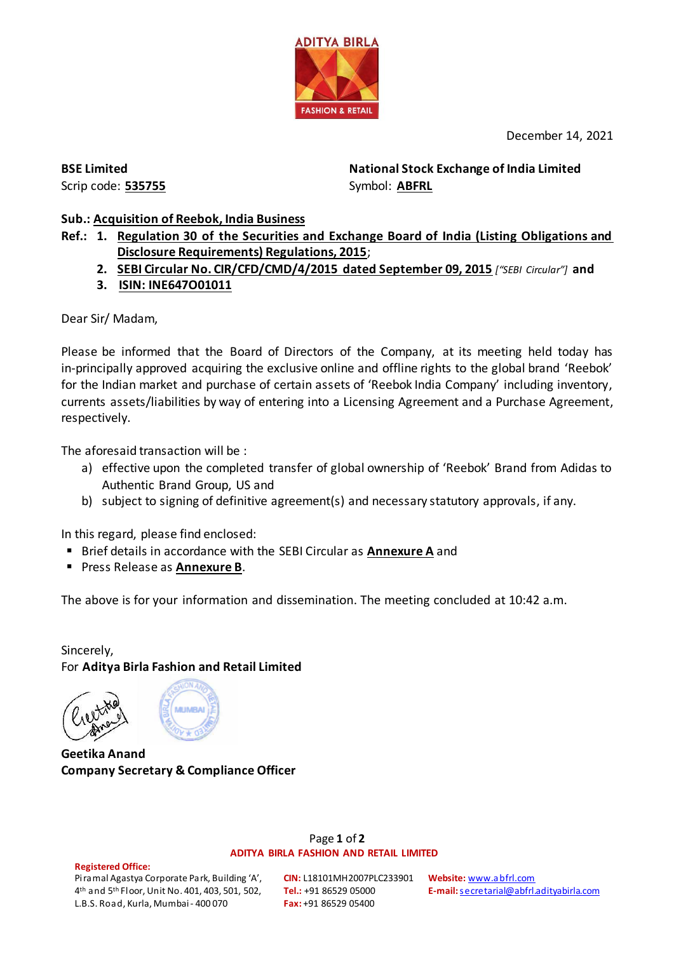

December 14, 2021

**BSE Limited** Scrip code: **535755** **National Stock Exchange of India Limited**  Symbol: **ABFRL**

# **Sub.: Acquisition of Reebok, India Business**

- **Ref.: 1. Regulation 30 of the Securities and Exchange Board of India (Listing Obligations and Disclosure Requirements) Regulations, 2015**;
	- **2. SEBI Circular No. CIR/CFD/CMD/4/2015 dated September 09, 2015** *["SEBI Circular"]* **and**
	- **3. ISIN: INE647O01011**

Dear Sir/ Madam,

Please be informed that the Board of Directors of the Company, at its meeting held today has in-principally approved acquiring the exclusive online and offline rights to the global brand 'Reebok' for the Indian market and purchase of certain assets of 'Reebok India Company' including inventory, currents assets/liabilities by way of entering into a Licensing Agreement and a Purchase Agreement, respectively.

The aforesaid transaction will be :

- a) effective upon the completed transfer of global ownership of 'Reebok' Brand from Adidas to Authentic Brand Group, US and
- b) subject to signing of definitive agreement(s) and necessary statutory approvals, if any.

In this regard, please find enclosed:

- Brief details in accordance with the SEBI Circular as **Annexure A** and
- Press Release as **Annexure B**.

The above is for your information and dissemination. The meeting concluded at 10:42 a.m.

Sincerely, For **Aditya Birla Fashion and Retail Limited**



**Geetika Anand Company Secretary & Compliance Officer**

#### Page **1** of **2 ADITYA BIRLA FASHION AND RETAIL LIMITED**

#### **Registered Office:**

Piramal Agastya Corporate Park, Building 'A', 4th and 5th Floor, Unit No. 401, 403, 501, 502, L.B.S. Road, Kurla, Mumbai - 400 070

**CIN:** L18101MH2007PLC233901 **Tel.:** +91 86529 05000 **Fax:** +91 86529 05400

**Website:** [www.abfrl.com](http://www.abfrl.com/) **E-mail:** [secretarial@abfrl.adityabirla.com](mailto:secretarial@abfrl.adityabirla.com)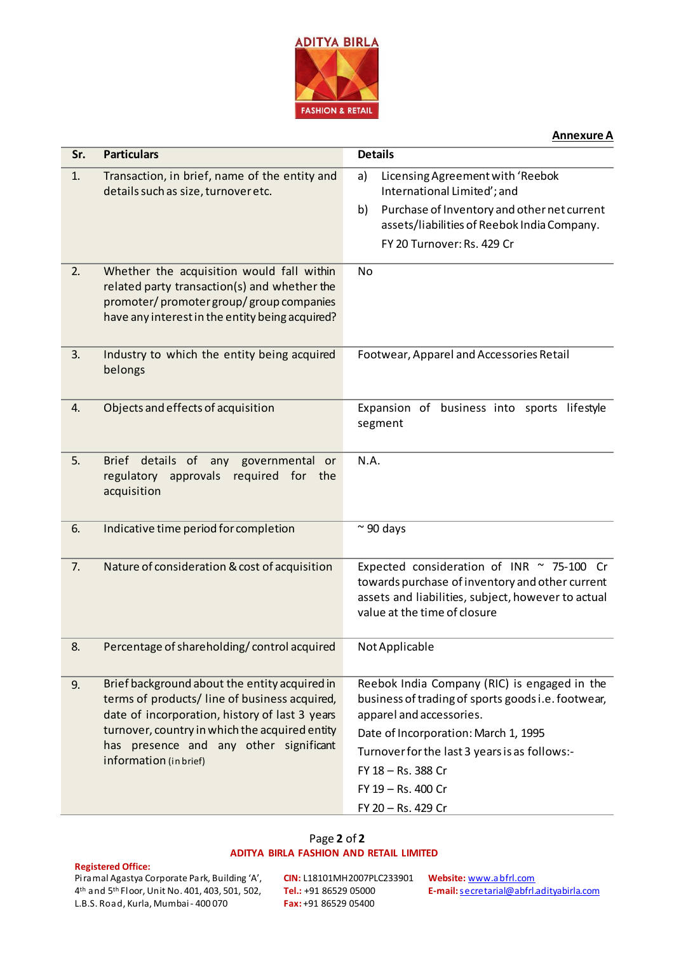

#### **Annexure A**

| Sr. | <b>Particulars</b>                                                                                                                                                                                                                                                     | <b>Details</b>                                                                                                                                                                                                                                                                            |
|-----|------------------------------------------------------------------------------------------------------------------------------------------------------------------------------------------------------------------------------------------------------------------------|-------------------------------------------------------------------------------------------------------------------------------------------------------------------------------------------------------------------------------------------------------------------------------------------|
| 1.  | Transaction, in brief, name of the entity and<br>details such as size, turnover etc.                                                                                                                                                                                   | a)<br>Licensing Agreement with 'Reebok<br>International Limited'; and<br>Purchase of Inventory and other net current<br>b)<br>assets/liabilities of Reebok India Company.<br>FY 20 Turnover: Rs. 429 Cr                                                                                   |
| 2.  | Whether the acquisition would fall within<br>related party transaction(s) and whether the<br>promoter/promoter group/group companies<br>have any interest in the entity being acquired?                                                                                | No                                                                                                                                                                                                                                                                                        |
| 3.  | Industry to which the entity being acquired<br>belongs                                                                                                                                                                                                                 | Footwear, Apparel and Accessories Retail                                                                                                                                                                                                                                                  |
| 4.  | Objects and effects of acquisition                                                                                                                                                                                                                                     | Expansion of business into sports lifestyle<br>segment                                                                                                                                                                                                                                    |
| 5.  | Brief details of<br>governmental or<br>any<br>required for<br>regulatory<br>approvals<br>the<br>acquisition                                                                                                                                                            | N.A.                                                                                                                                                                                                                                                                                      |
| 6.  | Indicative time period for completion                                                                                                                                                                                                                                  | $\approx$ 90 days                                                                                                                                                                                                                                                                         |
| 7.  | Nature of consideration & cost of acquisition                                                                                                                                                                                                                          | Expected consideration of INR ~ 75-100 Cr<br>towards purchase of inventory and other current<br>assets and liabilities, subject, however to actual<br>value at the time of closure                                                                                                        |
| 8.  | Percentage of shareholding/control acquired                                                                                                                                                                                                                            | Not Applicable                                                                                                                                                                                                                                                                            |
| 9.  | Brief background about the entity acquired in<br>terms of products/ line of business acquired,<br>date of incorporation, history of last 3 years<br>turnover, country in which the acquired entity<br>has presence and any other significant<br>information (in brief) | Reebok India Company (RIC) is engaged in the<br>business of trading of sports goods i.e. footwear,<br>apparel and accessories.<br>Date of Incorporation: March 1, 1995<br>Turnover for the last 3 years is as follows:-<br>FY 18 - Rs. 388 Cr<br>FY 19 - Rs. 400 Cr<br>FY 20 - Rs. 429 Cr |

# Page **2** of **2**

## **ADITYA BIRLA FASHION AND RETAIL LIMITED**

#### **Registered Office:**

Piramal Agastya Corporate Park, Building 'A', 4th and 5th Floor, Unit No. 401, 403, 501, 502, L.B.S. Road, Kurla, Mumbai - 400 070

**CIN:** L18101MH2007PLC233901 **Website:** [www.abfrl.com](http://www.abfrl.com/) **Tel.:** +91 86529 05000 **Fax:** +91 86529 05400

**E-mail:** [secretarial@abfrl.adityabirla.com](mailto:secretarial@abfrl.adityabirla.com)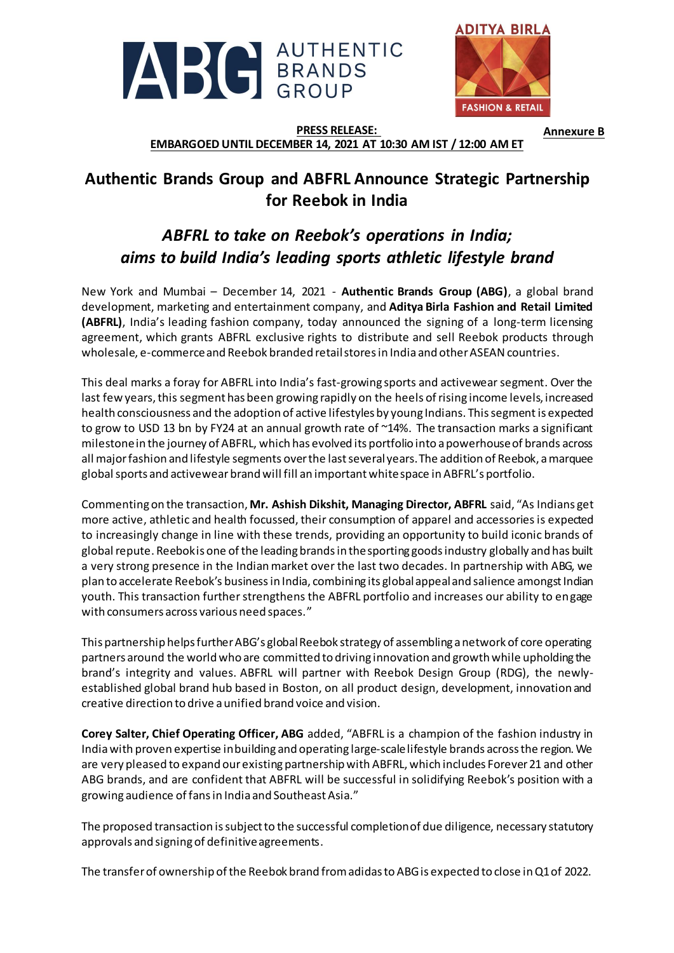



**Annexure B**

### **PRESS RELEASE: EMBARGOED UNTIL DECEMBER 14, 2021 AT 10:30 AM IST / 12:00 AM ET**

# **Authentic Brands Group and ABFRL Announce Strategic Partnership for Reebok in India**

# *ABFRL to take on Reebok's operations in India; aims to build India's leading sports athletic lifestyle brand*

New York and Mumbai – December 14, 2021 - **Authentic Brands Group (ABG)**, a global brand development, marketing and entertainment company, and **Aditya Birla Fashion and Retail Limited (ABFRL)**, India's leading fashion company, today announced the signing of a long-term licensing agreement, which grants ABFRL exclusive rights to distribute and sell Reebok products through wholesale, e-commerceand Reebok branded retail storesin India and other ASEAN countries.

This deal marks a foray for ABFRL into India's fast-growing sports and activewear segment. Over the last few years, this segment has been growing rapidly on the heels of rising income levels, increased health consciousness and the adoption of active lifestyles by young Indians. This segment is expected to grow to USD 13 bn by FY24 at an annual growth rate of ~14%. The transaction marks a significant milestone in the journey of ABFRL, which has evolved its portfolio into a powerhouse of brands across all major fashion and lifestyle segments overthe last severalyears.The addition of Reebok, a marquee global sports and activewear brand will fill an important white space in ABFRL's portfolio.

Commenting on the transaction, **Mr. Ashish Dikshit, Managing Director, ABFRL** said, "As Indians get more active, athletic and health focussed, their consumption of apparel and accessories is expected to increasingly change in line with these trends, providing an opportunity to build iconic brands of global repute. Reebokis one of the leading brands in the sporting goods industry globally and has built a very strong presence in the Indian market over the last two decades. In partnership with ABG, we plan to accelerate Reebok's businessin India, combining its global appealand salience amongst Indian youth. This transaction further strengthens the ABFRL portfolio and increases our ability to engage with consumers across various need spaces."

This partnership helps further ABG's global Reebok strategy of assembling a network of core operating partners around the world who are committed to driving innovation and growth while upholding the brand's integrity and values. ABFRL will partner with Reebok Design Group (RDG), the newlyestablished global brand hub based in Boston, on all product design, development, innovation and creative direction to drive a unified brand voice and vision.

**Corey Salter, Chief Operating Officer, ABG** added, "ABFRL is a champion of the fashion industry in India with proven expertise inbuilding and operating large-scale lifestyle brands across the region. We are very pleased to expand our existing partnership with ABFRL, which includes Forever 21 and other ABG brands, and are confident that ABFRL will be successful in solidifying Reebok's position with a growing audience of fansin India and Southeast Asia."

The proposed transaction is subject to the successful completion of due diligence, necessary statutory approvals and signing of definitive agreements.

The transfer of ownership of the Reebok brand from adidas to ABG is expected to close in Q1 of 2022.